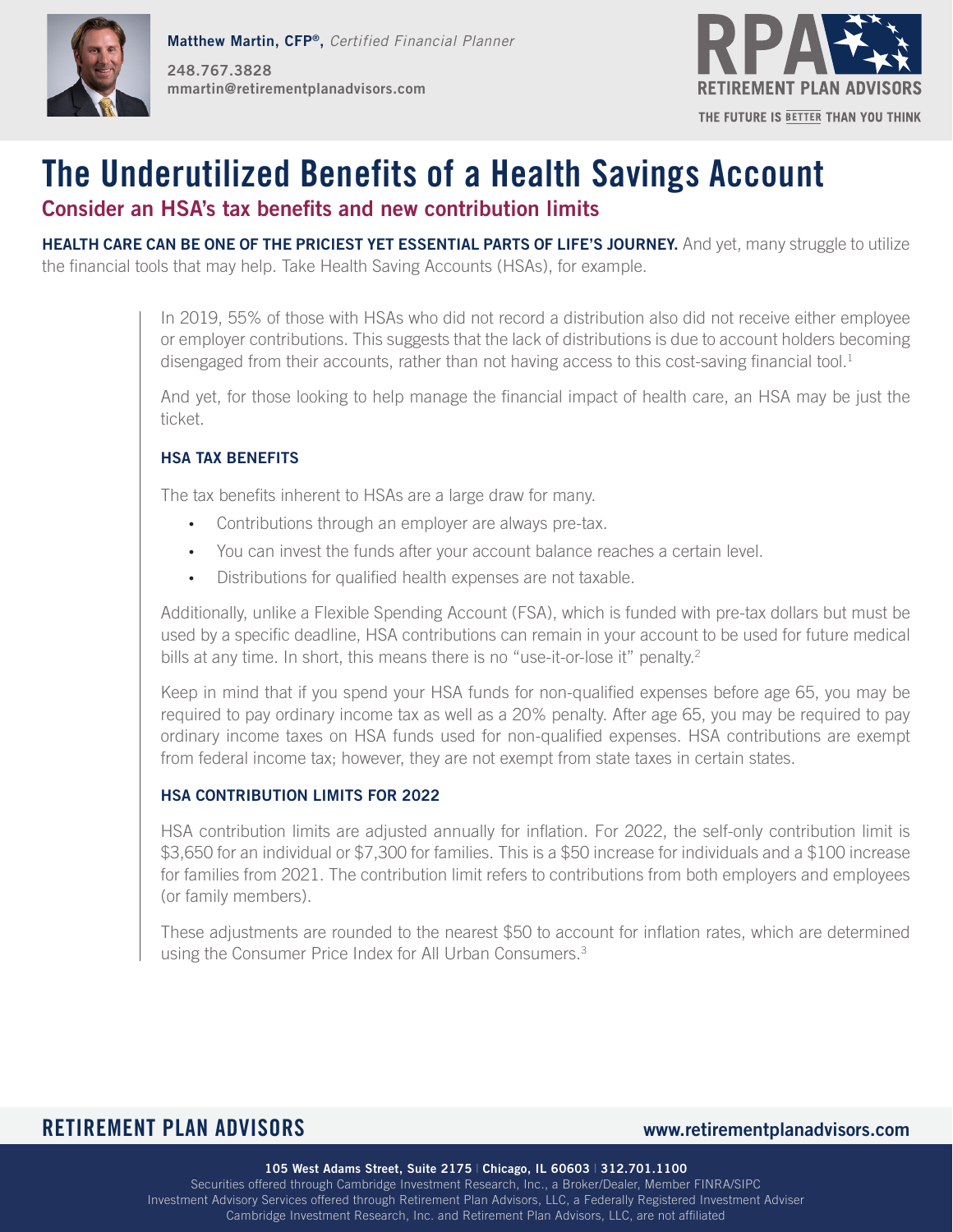



# **The Underutilized Benefits of a Health Savings Account**

# **Consider an HSA's tax benefits and new contribution limits**

**HEALTH CARE CAN BE ONE OF THE PRICIEST YET ESSENTIAL PARTS OF LIFE'S JOURNEY.** And yet, many struggle to utilize the financial tools that may help. Take Health Saving Accounts (HSAs), for example.

> In 2019, 55% of those with HSAs who did not record a distribution also did not receive either employee or employer contributions. This suggests that the lack of distributions is due to account holders becoming disengaged from their accounts, rather than not having access to this cost-saving financial tool.<sup>1</sup>

> And yet, for those looking to help manage the financial impact of health care, an HSA may be just the ticket.

## **HSA TAX BENEFITS**

The tax benefits inherent to HSAs are a large draw for many.

- Contributions through an employer are always pre-tax.
- You can invest the funds after your account balance reaches a certain level.
- Distributions for qualified health expenses are not taxable.

Additionally, unlike a Flexible Spending Account (FSA), which is funded with pre-tax dollars but must be used by a specific deadline, HSA contributions can remain in your account to be used for future medical bills at any time. In short, this means there is no "use-it-or-lose it" penalty.<sup>2</sup>

Keep in mind that if you spend your HSA funds for non-qualified expenses before age 65, you may be required to pay ordinary income tax as well as a 20% penalty. After age 65, you may be required to pay ordinary income taxes on HSA funds used for non-qualified expenses. HSA contributions are exempt from federal income tax; however, they are not exempt from state taxes in certain states.

### **HSA CONTRIBUTION LIMITS FOR 2022**

HSA contribution limits are adjusted annually for inflation. For 2022, the self-only contribution limit is \$3,650 for an individual or \$7,300 for families. This is a \$50 increase for individuals and a \$100 increase for families from 2021. The contribution limit refers to contributions from both employers and employees (or family members).

These adjustments are rounded to the nearest \$50 to account for inflation rates, which are determined using the Consumer Price Index for All Urban Consumers.<sup>3</sup>

# **RETIREMENT PLAN ADVISORS www.retirementplanadvisors.com**

**105 West Adams Street, Suite 2175** | **Chicago, IL 60603** | **312.701.1100**

Securities offered through Cambridge Investment Research, Inc., a Broker/Dealer, Member FINRA/SIPC Investment Advisory Services offered through Retirement Plan Advisors, LLC, a Federally Registered Investment Adviser Cambridge Investment Research, Inc. and Retirement Plan Advisors, LLC, are not affiliated